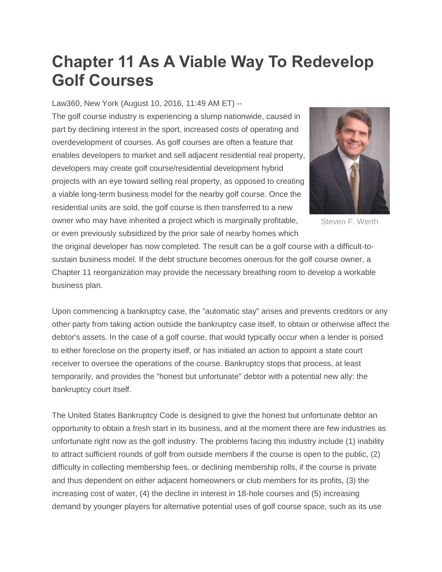## **Chapter 11 As A Viable Way To Redevelop Golf Courses**

Law360, New York (August 10, 2016, 11:49 AM ET) --

The golf course industry is experiencing a slump nationwide, caused in part by declining interest in the sport, increased costs of operating and overdevelopment of courses. As golf courses are often a feature that enables developers to market and sell adjacent residential real property, developers may create golf course/residential development hybrid projects with an eye toward selling real property, as opposed to creating a viable long-term business model for the nearby golf course. Once the residential units are sold, the golf course is then transferred to a new owner who may have inherited a project which is marginally profitable, or even previously subsidized by the prior sale of nearby homes which



Steven F. Werth

the original developer has now completed. The result can be a golf course with a difficult-tosustain business model. If the debt structure becomes onerous for the golf course owner, a Chapter 11 reorganization may provide the necessary breathing room to develop a workable business plan.

Upon commencing a bankruptcy case, the "automatic stay" arises and prevents creditors or any other party from taking action outside the bankruptcy case itself, to obtain or otherwise affect the debtor's assets. In the case of a golf course, that would typically occur when a lender is poised to either foreclose on the property itself, or has initiated an action to appoint a state court receiver to oversee the operations of the course. Bankruptcy stops that process, at least temporarily, and provides the "honest but unfortunate" debtor with a potential new ally: the bankruptcy court itself.

The United States Bankruptcy Code is designed to give the honest but unfortunate debtor an opportunity to obtain a fresh start in its business, and at the moment there are few industries as unfortunate right now as the golf industry. The problems facing this industry include (1) inability to attract sufficient rounds of golf from outside members if the course is open to the public, (2) difficulty in collecting membership fees, or declining membership rolls, if the course is private and thus dependent on either adjacent homeowners or club members for its profits, (3) the increasing cost of water, (4) the decline in interest in 18-hole courses and (5) increasing demand by younger players for alternative potential uses of golf course space, such as its use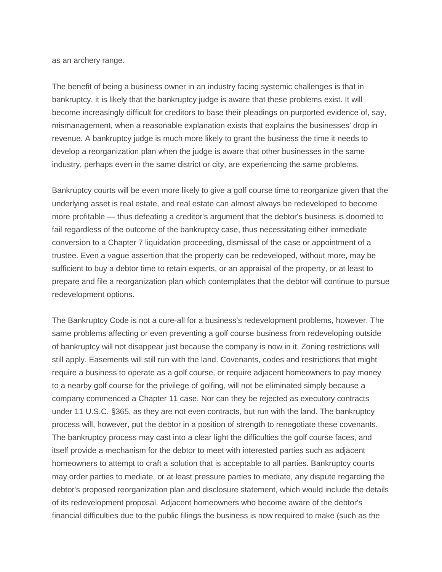as an archery range.

The benefit of being a business owner in an industry facing systemic challenges is that in bankruptcy, it is likely that the bankruptcy judge is aware that these problems exist. It will become increasingly difficult for creditors to base their pleadings on purported evidence of, say, mismanagement, when a reasonable explanation exists that explains the businesses' drop in revenue. A bankruptcy judge is much more likely to grant the business the time it needs to develop a reorganization plan when the judge is aware that other businesses in the same industry, perhaps even in the same district or city, are experiencing the same problems.

Bankruptcy courts will be even more likely to give a golf course time to reorganize given that the underlying asset is real estate, and real estate can almost always be redeveloped to become more profitable — thus defeating a creditor's argument that the debtor's business is doomed to fail regardless of the outcome of the bankruptcy case, thus necessitating either immediate conversion to a Chapter 7 liquidation proceeding, dismissal of the case or appointment of a trustee. Even a vague assertion that the property can be redeveloped, without more, may be sufficient to buy a debtor time to retain experts, or an appraisal of the property, or at least to prepare and file a reorganization plan which contemplates that the debtor will continue to pursue redevelopment options.

The Bankruptcy Code is not a cure-all for a business's redevelopment problems, however. The same problems affecting or even preventing a golf course business from redeveloping outside of bankruptcy will not disappear just because the company is now in it. Zoning restrictions will still apply. Easements will still run with the land. Covenants, codes and restrictions that might require a business to operate as a golf course, or require adjacent homeowners to pay money to a nearby golf course for the privilege of golfing, will not be eliminated simply because a company commenced a Chapter 11 case. Nor can they be rejected as executory contracts under 11 U.S.C. §365, as they are not even contracts, but run with the land. The bankruptcy process will, however, put the debtor in a position of strength to renegotiate these covenants. The bankruptcy process may cast into a clear light the difficulties the golf course faces, and itself provide a mechanism for the debtor to meet with interested parties such as adjacent homeowners to attempt to craft a solution that is acceptable to all parties. Bankruptcy courts may order parties to mediate, or at least pressure parties to mediate, any dispute regarding the debtor's proposed reorganization plan and disclosure statement, which would include the details of its redevelopment proposal. Adjacent homeowners who become aware of the debtor's financial difficulties due to the public filings the business is now required to make (such as the